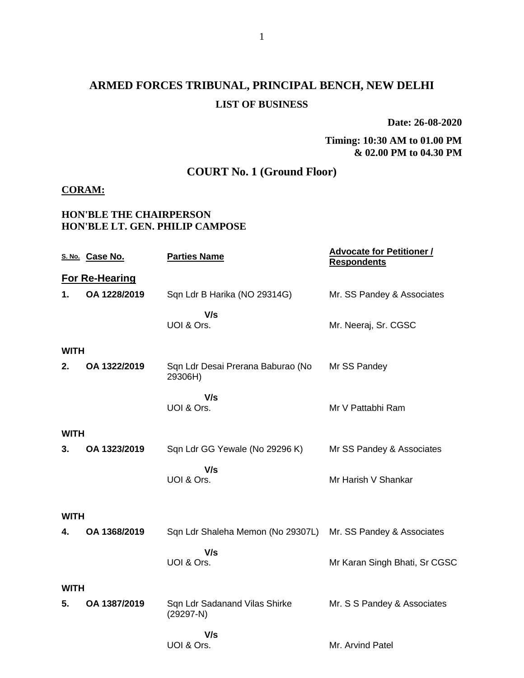# **ARMED FORCES TRIBUNAL, PRINCIPAL BENCH, NEW DELHI LIST OF BUSINESS**

**Date: 26-08-2020**

#### **Timing: 10:30 AM to 01.00 PM & 02.00 PM to 04.30 PM**

# **COURT No. 1 (Ground Floor)**

### **CORAM:**

### **HON'BLE THE CHAIRPERSON HON'BLE LT. GEN. PHILIP CAMPOSE**

|             | S. No. Case No.       | <b>Parties Name</b>                          | <b>Advocate for Petitioner /</b><br><b>Respondents</b> |
|-------------|-----------------------|----------------------------------------------|--------------------------------------------------------|
|             | <b>For Re-Hearing</b> |                                              |                                                        |
| 1.          | OA 1228/2019          | Sqn Ldr B Harika (NO 29314G)                 | Mr. SS Pandey & Associates                             |
|             |                       | V/s<br>UOI & Ors.                            | Mr. Neeraj, Sr. CGSC                                   |
| <b>WITH</b> |                       |                                              |                                                        |
| 2.          | OA 1322/2019          | Sqn Ldr Desai Prerana Baburao (No<br>29306H) | Mr SS Pandey                                           |
|             |                       | V/s<br>UOI & Ors.                            | Mr V Pattabhi Ram                                      |
| WITH        |                       |                                              |                                                        |
| 3.          | OA 1323/2019          | Sqn Ldr GG Yewale (No 29296 K)               | Mr SS Pandey & Associates                              |
|             |                       | V/s<br>UOI & Ors.                            | Mr Harish V Shankar                                    |
| WITH        |                       |                                              |                                                        |
| 4.          | OA 1368/2019          | Sqn Ldr Shaleha Memon (No 29307L)            | Mr. SS Pandey & Associates                             |
|             |                       | V/s<br>UOI & Ors.                            | Mr Karan Singh Bhati, Sr CGSC                          |
| WITH        |                       |                                              |                                                        |
| 5.          | OA 1387/2019          | Sqn Ldr Sadanand Vilas Shirke<br>$(29297-N)$ | Mr. S S Pandey & Associates                            |
|             |                       | V/s                                          |                                                        |
|             |                       | UOI & Ors.                                   | Mr. Arvind Patel                                       |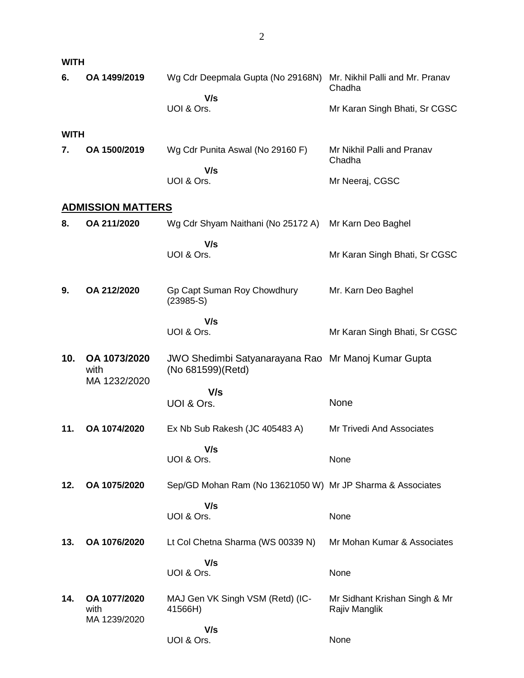| <b>WITH</b> |                                      |                                                                          |                                                                            |
|-------------|--------------------------------------|--------------------------------------------------------------------------|----------------------------------------------------------------------------|
| 6.          | OA 1499/2019                         | Wg Cdr Deepmala Gupta (No 29168N)<br>V/s<br>UOI & Ors.                   | Mr. Nikhil Palli and Mr. Pranav<br>Chadha<br>Mr Karan Singh Bhati, Sr CGSC |
| <b>WITH</b> |                                      |                                                                          |                                                                            |
| 7.          | OA 1500/2019                         | Wg Cdr Punita Aswal (No 29160 F)                                         | Mr Nikhil Palli and Pranav<br>Chadha                                       |
|             |                                      | V/s<br>UOI & Ors.                                                        | Mr Neeraj, CGSC                                                            |
|             | <b>ADMISSION MATTERS</b>             |                                                                          |                                                                            |
| 8.          | OA 211/2020                          | Wg Cdr Shyam Naithani (No 25172 A)                                       | Mr Karn Deo Baghel                                                         |
|             |                                      | V/s<br>UOI & Ors.                                                        | Mr Karan Singh Bhati, Sr CGSC                                              |
| 9.          | OA 212/2020                          | Gp Capt Suman Roy Chowdhury<br>$(23985-S)$                               | Mr. Karn Deo Baghel                                                        |
|             |                                      | V/s<br>UOI & Ors.                                                        | Mr Karan Singh Bhati, Sr CGSC                                              |
| 10.         | OA 1073/2020<br>with                 | JWO Shedimbi Satyanarayana Rao Mr Manoj Kumar Gupta<br>(No 681599)(Retd) |                                                                            |
|             | MA 1232/2020                         | V/s                                                                      |                                                                            |
|             |                                      | UOI & Ors.                                                               | None                                                                       |
| 11.         | OA 1074/2020                         | Ex Nb Sub Rakesh (JC 405483 A)                                           | <b>Mr Trivedi And Associates</b>                                           |
|             |                                      | V/s<br>UOI & Ors.                                                        | None                                                                       |
| 12.         | OA 1075/2020                         | Sep/GD Mohan Ram (No 13621050 W) Mr JP Sharma & Associates               |                                                                            |
|             |                                      | V/s<br>UOI & Ors.                                                        | None                                                                       |
| 13.         | OA 1076/2020                         | Lt Col Chetna Sharma (WS 00339 N)                                        | Mr Mohan Kumar & Associates                                                |
|             |                                      | V/s<br>UOI & Ors.                                                        | None                                                                       |
| 14.         | OA 1077/2020<br>with<br>MA 1239/2020 | MAJ Gen VK Singh VSM (Retd) (IC-<br>41566H)                              | Mr Sidhant Krishan Singh & Mr<br>Rajiv Manglik                             |
|             |                                      | V/s<br>UOI & Ors.                                                        | None                                                                       |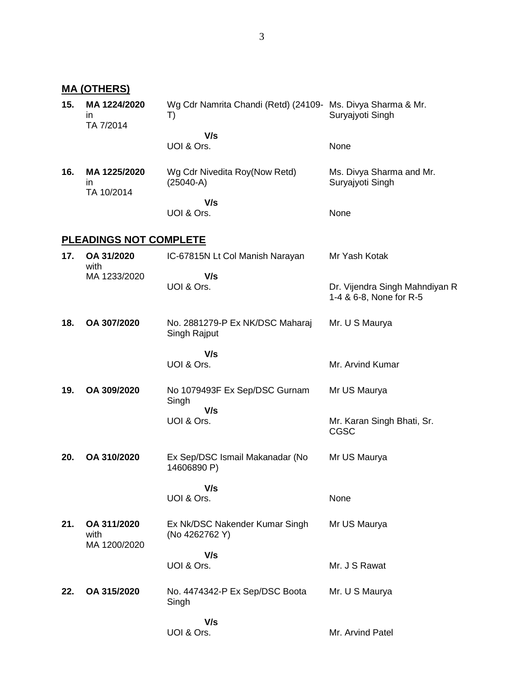**MA (OTHERS)**

| 15. | MA 1224/2020<br>ın<br>TA 7/2014     | Wg Cdr Namrita Chandi (Retd) (24109- Ms. Divya Sharma & Mr.<br>T) | Suryajyoti Singh                                          |
|-----|-------------------------------------|-------------------------------------------------------------------|-----------------------------------------------------------|
|     |                                     | V/s<br>UOI & Ors.                                                 | None                                                      |
| 16. | MA 1225/2020<br>ın<br>TA 10/2014    | Wg Cdr Nivedita Roy(Now Retd)<br>$(25040-A)$                      | Ms. Divya Sharma and Mr.<br>Suryajyoti Singh              |
|     |                                     | V/s<br>UOI & Ors.                                                 | None                                                      |
|     | <b>PLEADINGS NOT COMPLETE</b>       |                                                                   |                                                           |
| 17. | OA 31/2020<br>with                  | IC-67815N Lt Col Manish Narayan                                   | Mr Yash Kotak                                             |
|     | MA 1233/2020                        | V/s<br>UOI & Ors.                                                 | Dr. Vijendra Singh Mahndiyan R<br>1-4 & 6-8, None for R-5 |
| 18. | OA 307/2020                         | No. 2881279-P Ex NK/DSC Maharaj<br>Singh Rajput                   | Mr. U S Maurya                                            |
|     |                                     | V/s<br>UOI & Ors.                                                 | Mr. Arvind Kumar                                          |
| 19. | OA 309/2020                         | No 1079493F Ex Sep/DSC Gurnam<br>Singh                            | Mr US Maurya                                              |
|     |                                     | V/s<br>UOI & Ors.                                                 | Mr. Karan Singh Bhati, Sr.<br><b>CGSC</b>                 |
| 20. | OA 310/2020                         | Ex Sep/DSC Ismail Makanadar (No<br>14606890 P)                    | Mr US Maurya                                              |
|     |                                     | V/s                                                               |                                                           |
|     |                                     | UOI & Ors.                                                        | None                                                      |
| 21. | OA 311/2020<br>with<br>MA 1200/2020 | Ex Nk/DSC Nakender Kumar Singh<br>(No 4262762 Y)                  | Mr US Maurya                                              |
|     |                                     | V/s                                                               |                                                           |
|     |                                     | UOI & Ors.                                                        | Mr. J S Rawat                                             |
| 22. | OA 315/2020                         | No. 4474342-P Ex Sep/DSC Boota<br>Singh                           | Mr. U S Maurya                                            |
|     |                                     | V/s                                                               |                                                           |
|     |                                     | UOI & Ors.                                                        | Mr. Arvind Patel                                          |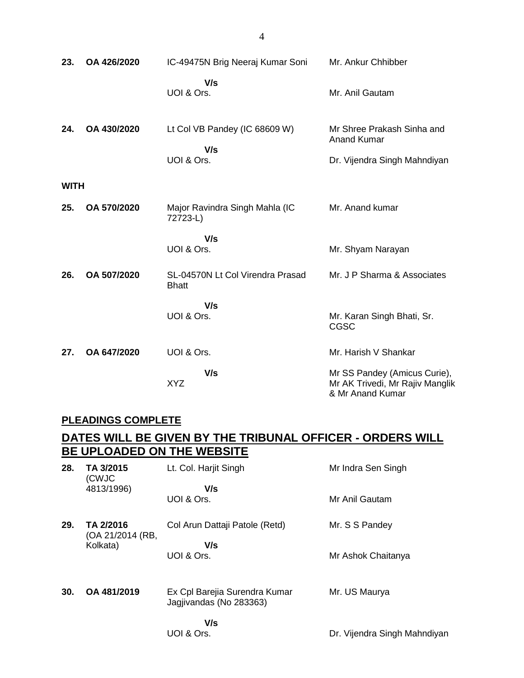| 23.         | OA 426/2020 | IC-49475N Brig Neeraj Kumar Soni                   | Mr. Ankur Chhibber                                                                  |
|-------------|-------------|----------------------------------------------------|-------------------------------------------------------------------------------------|
|             |             | V/s<br>UOI & Ors.                                  | Mr. Anil Gautam                                                                     |
| 24.         | OA 430/2020 | Lt Col VB Pandey (IC 68609 W)<br>V/s<br>UOI & Ors. | Mr Shree Prakash Sinha and<br><b>Anand Kumar</b><br>Dr. Vijendra Singh Mahndiyan    |
| <b>WITH</b> |             |                                                    |                                                                                     |
| 25.         | OA 570/2020 | Major Ravindra Singh Mahla (IC<br>72723-L)         | Mr. Anand kumar                                                                     |
|             |             | V/s<br>UOI & Ors.                                  | Mr. Shyam Narayan                                                                   |
| 26.         | OA 507/2020 | SL-04570N Lt Col Virendra Prasad<br><b>Bhatt</b>   | Mr. J P Sharma & Associates                                                         |
|             |             | V/s<br>UOI & Ors.                                  | Mr. Karan Singh Bhati, Sr.<br><b>CGSC</b>                                           |
| 27.         | OA 647/2020 | UOI & Ors.                                         | Mr. Harish V Shankar                                                                |
|             |             | V/s<br><b>XYZ</b>                                  | Mr SS Pandey (Amicus Curie),<br>Mr AK Trivedi, Mr Rajiv Manglik<br>& Mr Anand Kumar |

### **PLEADINGS COMPLETE**

## **DATES WILL BE GIVEN BY THE TRIBUNAL OFFICER - ORDERS WILL BE UPLOADED ON THE WEBSITE**

| 28. | TA 3/2015                     | Lt. Col. Harjit Singh                                    | Mr Indra Sen Singh           |
|-----|-------------------------------|----------------------------------------------------------|------------------------------|
|     | (CWJC<br>4813/1996)           | V/s<br>UOI & Ors.                                        | Mr Anil Gautam               |
| 29. | TA 2/2016<br>(OA 21/2014 (RB, | Col Arun Dattaji Patole (Retd)<br>V/s                    | Mr. S S Pandey               |
|     | Kolkata)                      | UOI & Ors.                                               | Mr Ashok Chaitanya           |
| 30. | OA 481/2019                   | Ex Cpl Barejia Surendra Kumar<br>Jagjivandas (No 283363) | Mr. US Maurya                |
|     |                               | V/s<br>UOI & Ors.                                        | Dr. Vijendra Singh Mahndiyan |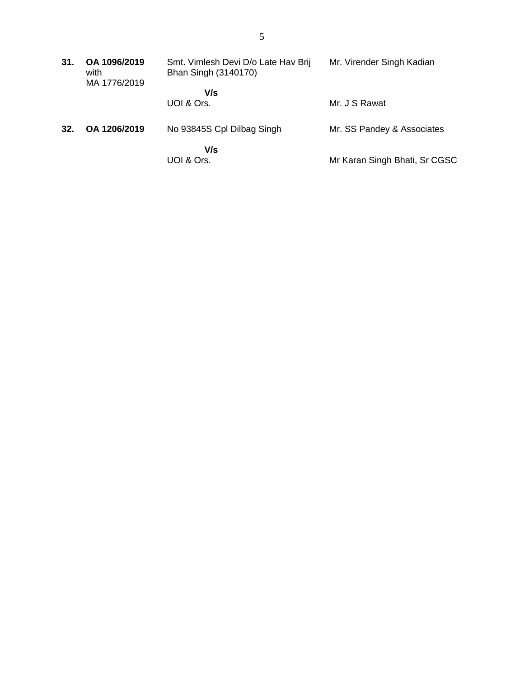| 31. | OA 1096/2019<br>with<br>MA 1776/2019 | Smt. Vimlesh Devi D/o Late Hav Brij<br>Bhan Singh (3140170) | Mr. Virender Singh Kadian     |
|-----|--------------------------------------|-------------------------------------------------------------|-------------------------------|
|     |                                      | V/s<br>UOI & Ors.                                           | Mr. J S Rawat                 |
| 32. | OA 1206/2019                         | No 93845S Cpl Dilbag Singh                                  | Mr. SS Pandey & Associates    |
|     |                                      | V/s<br>UOI & Ors.                                           | Mr Karan Singh Bhati, Sr CGSC |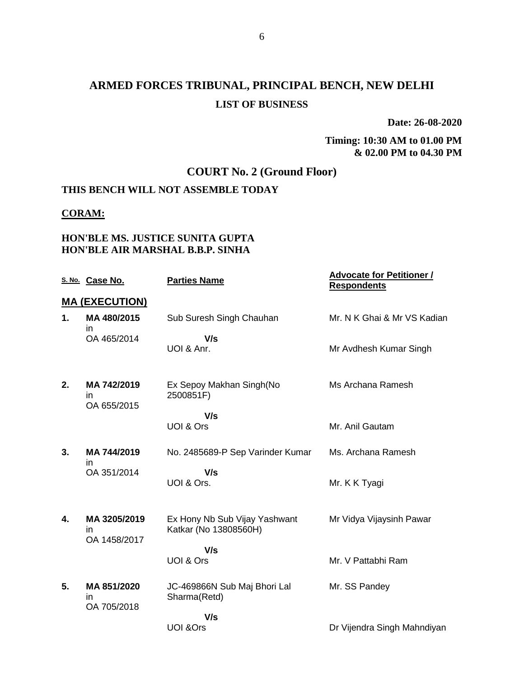# **ARMED FORCES TRIBUNAL, PRINCIPAL BENCH, NEW DELHI LIST OF BUSINESS**

**Date: 26-08-2020**

**Timing: 10:30 AM to 01.00 PM & 02.00 PM to 04.30 PM**

# **COURT No. 2 (Ground Floor)**

## **THIS BENCH WILL NOT ASSEMBLE TODAY**

#### **CORAM:**

### **HON'BLE MS. JUSTICE SUNITA GUPTA HON'BLE AIR MARSHAL B.B.P. SINHA**

|    | S. No. Case No.                    | <b>Parties Name</b>                                    | <b>Advocate for Petitioner /</b><br><b>Respondents</b> |
|----|------------------------------------|--------------------------------------------------------|--------------------------------------------------------|
|    | <b>MA (EXECUTION)</b>              |                                                        |                                                        |
| 1. | MA 480/2015<br>in                  | Sub Suresh Singh Chauhan                               | Mr. N K Ghai & Mr VS Kadian                            |
|    | OA 465/2014                        | V/s<br>UOI & Anr.                                      | Mr Avdhesh Kumar Singh                                 |
| 2. | MA 742/2019<br>in<br>OA 655/2015   | Ex Sepoy Makhan Singh(No<br>2500851F)                  | Ms Archana Ramesh                                      |
|    |                                    | V/s<br>UOI & Ors                                       | Mr. Anil Gautam                                        |
| 3. | MA 744/2019<br>in                  | No. 2485689-P Sep Varinder Kumar                       | Ms. Archana Ramesh                                     |
|    | OA 351/2014                        | V/s<br>UOI & Ors.                                      | Mr. K K Tyagi                                          |
| 4. | MA 3205/2019<br>in<br>OA 1458/2017 | Ex Hony Nb Sub Vijay Yashwant<br>Katkar (No 13808560H) | Mr Vidya Vijaysinh Pawar                               |
|    |                                    | V/s<br>UOI & Ors                                       | Mr. V Pattabhi Ram                                     |
| 5. | MA 851/2020<br>in<br>OA 705/2018   | JC-469866N Sub Maj Bhori Lal<br>Sharma(Retd)           | Mr. SS Pandey                                          |
|    |                                    | V/s<br><b>UOI &amp;Ors</b>                             | Dr Vijendra Singh Mahndiyan                            |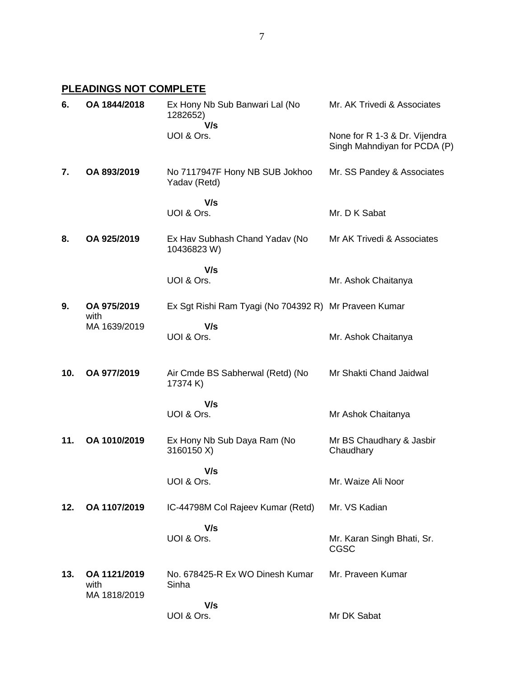### **PLEADINGS NOT COMPLETE**

| 6.  | OA 1844/2018                         | Ex Hony Nb Sub Banwari Lal (No<br>1282652)<br>V/s     | Mr. AK Trivedi & Associates                                   |
|-----|--------------------------------------|-------------------------------------------------------|---------------------------------------------------------------|
|     |                                      | UOI & Ors.                                            | None for R 1-3 & Dr. Vijendra<br>Singh Mahndiyan for PCDA (P) |
| 7.  | OA 893/2019                          | No 7117947F Hony NB SUB Jokhoo<br>Yadav (Retd)        | Mr. SS Pandey & Associates                                    |
|     |                                      | V/s<br>UOI & Ors.                                     | Mr. D K Sabat                                                 |
| 8.  | OA 925/2019                          | Ex Hav Subhash Chand Yadav (No<br>10436823 W)         | Mr AK Trivedi & Associates                                    |
|     |                                      | V/s<br>UOI & Ors.                                     | Mr. Ashok Chaitanya                                           |
| 9.  | OA 975/2019<br>with                  | Ex Sgt Rishi Ram Tyagi (No 704392 R) Mr Praveen Kumar |                                                               |
|     | MA 1639/2019                         | V/s<br>UOI & Ors.                                     | Mr. Ashok Chaitanya                                           |
| 10. | OA 977/2019                          | Air Cmde BS Sabherwal (Retd) (No<br>17374 K)          | Mr Shakti Chand Jaidwal                                       |
|     |                                      | V/s<br>UOI & Ors.                                     | Mr Ashok Chaitanya                                            |
| 11. | OA 1010/2019                         | Ex Hony Nb Sub Daya Ram (No<br>3160150 X)             | Mr BS Chaudhary & Jasbir<br>Chaudhary                         |
|     |                                      | V/s<br>UOI & Ors.                                     | Mr. Waize Ali Noor                                            |
| 12. | OA 1107/2019                         | IC-44798M Col Rajeev Kumar (Retd)                     | Mr. VS Kadian                                                 |
|     |                                      | V/s<br>UOI & Ors.                                     | Mr. Karan Singh Bhati, Sr.<br><b>CGSC</b>                     |
| 13. | OA 1121/2019<br>with<br>MA 1818/2019 | No. 678425-R Ex WO Dinesh Kumar<br>Sinha              | Mr. Praveen Kumar                                             |
|     |                                      | V/s<br>UOI & Ors.                                     | Mr DK Sabat                                                   |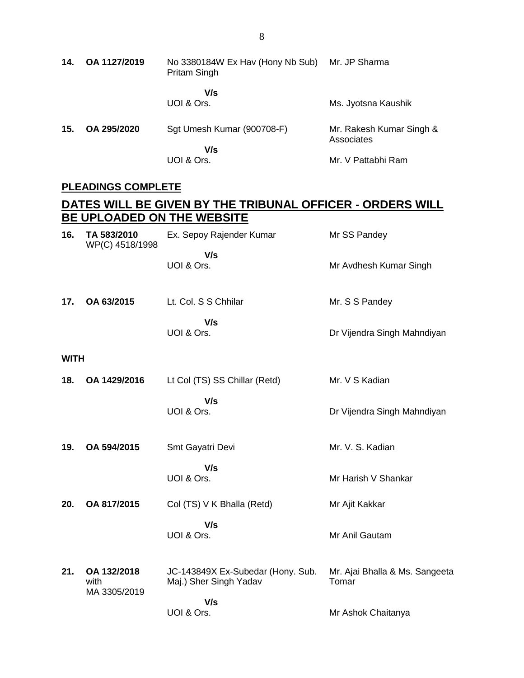**14. OA 1127/2019** No 3380184W Ex Hav (Hony Nb Sub) Mr. JP Sharma Pritam Singh  **V/s** UOI & Ors. Ms. Jyotsna Kaushik **15. OA 295/2020** Sgt Umesh Kumar (900708-F)  **V/s** UOI & Ors. Mr. Rakesh Kumar Singh & Associates Mr. V Pattabhi Ram

#### **PLEADINGS COMPLETE**

#### **DATES WILL BE GIVEN BY THE TRIBUNAL OFFICER - ORDERS WILL BE UPLOADED ON THE WEBSITE 16. TA 583/2010** WP(C) 4518/1998 Ex. Sepoy Rajender Kumar  **V/s** UOI & Ors. Mr SS Pandey Mr Avdhesh Kumar Singh **17. OA 63/2015** Lt. Col. S S Chhilar  **V/s** UOI & Ors. Mr. S S Pandey Dr Vijendra Singh Mahndiyan **WITH 18. OA 1429/2016** Lt Col (TS) SS Chillar (Retd)  **V/s** UOI & Ors. Mr. V S Kadian Dr Vijendra Singh Mahndiyan **19. OA 594/2015** Smt Gayatri Devi  **V/s** UOI & Ors. Mr. V. S. Kadian Mr Harish V Shankar **20. OA 817/2015** Col (TS) V K Bhalla (Retd)  **V/s** UOI & Ors. Mr Ajit Kakkar Mr Anil Gautam **21. OA 132/2018** with MA 3305/2019 JC-143849X Ex-Subedar (Hony. Sub. Maj.) Sher Singh Yadav Mr. Ajai Bhalla & Ms. Sangeeta Tomar

Mr Ashok Chaitanya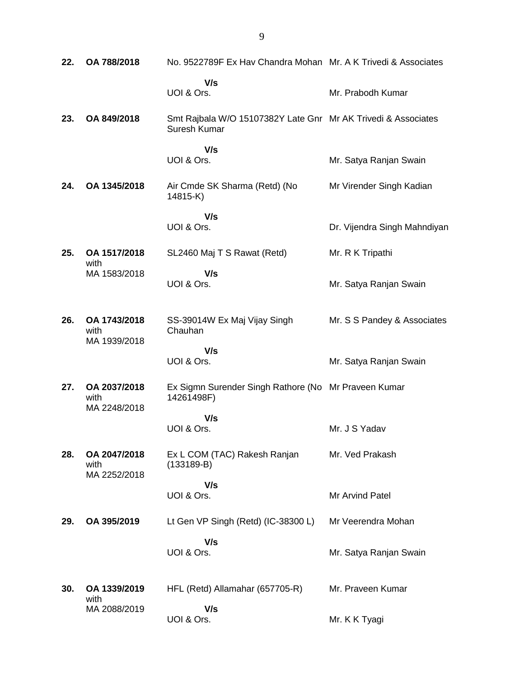| 22. | OA 788/2018                          | No. 9522789F Ex Hav Chandra Mohan Mr. A K Trivedi & Associates                |                              |
|-----|--------------------------------------|-------------------------------------------------------------------------------|------------------------------|
|     |                                      | V/s<br>UOI & Ors.                                                             | Mr. Prabodh Kumar            |
| 23. | OA 849/2018                          | Smt Rajbala W/O 15107382Y Late Gnr Mr AK Trivedi & Associates<br>Suresh Kumar |                              |
|     |                                      | V/s                                                                           |                              |
|     |                                      | UOI & Ors.                                                                    | Mr. Satya Ranjan Swain       |
| 24. | OA 1345/2018                         | Air Cmde SK Sharma (Retd) (No<br>14815-K)                                     | Mr Virender Singh Kadian     |
|     |                                      | V/s                                                                           |                              |
|     |                                      | UOI & Ors.                                                                    | Dr. Vijendra Singh Mahndiyan |
| 25. | OA 1517/2018<br>with                 | SL2460 Maj T S Rawat (Retd)                                                   | Mr. R K Tripathi             |
|     | MA 1583/2018                         | V/s<br>UOI & Ors.                                                             | Mr. Satya Ranjan Swain       |
| 26. | OA 1743/2018<br>with<br>MA 1939/2018 | SS-39014W Ex Maj Vijay Singh<br>Chauhan                                       | Mr. S S Pandey & Associates  |
|     |                                      | V/s<br>UOI & Ors.                                                             | Mr. Satya Ranjan Swain       |
| 27. | OA 2037/2018<br>with                 | Ex Sigmn Surender Singh Rathore (No Mr Praveen Kumar<br>14261498F)            |                              |
|     | MA 2248/2018                         | V/s<br>UOI & Ors.                                                             | Mr. J S Yadav                |
| 28. | OA 2047/2018<br>with                 | Ex L COM (TAC) Rakesh Ranjan<br>$(133189-B)$                                  | Mr. Ved Prakash              |
|     | MA 2252/2018                         | V/s                                                                           |                              |
|     |                                      | UOI & Ors.                                                                    | Mr Arvind Patel              |
| 29. | OA 395/2019                          | Lt Gen VP Singh (Retd) (IC-38300 L)                                           | Mr Veerendra Mohan           |
|     |                                      | V/s<br>UOI & Ors.                                                             | Mr. Satya Ranjan Swain       |
| 30. | OA 1339/2019<br>with                 | HFL (Retd) Allamahar (657705-R)                                               | Mr. Praveen Kumar            |
|     | MA 2088/2019                         | V/s<br>UOI & Ors.                                                             | Mr. K K Tyagi                |